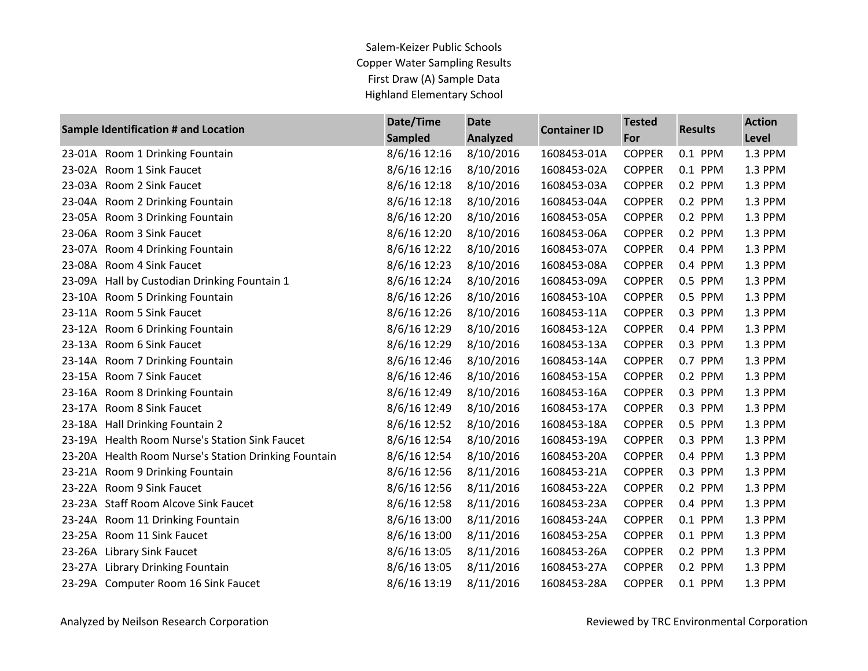## Salem-Keizer Public Schools Copper Water Sampling Results First Draw (A) Sample Data Highland Elementary School

| Sample Identification # and Location |                                                      | Date/Time      | <b>Date</b>     |                     | <b>Tested</b> | <b>Results</b> | <b>Action</b> |
|--------------------------------------|------------------------------------------------------|----------------|-----------------|---------------------|---------------|----------------|---------------|
|                                      |                                                      | <b>Sampled</b> | <b>Analyzed</b> | <b>Container ID</b> | For           |                | Level         |
|                                      | 23-01A Room 1 Drinking Fountain                      | 8/6/16 12:16   | 8/10/2016       | 1608453-01A         | <b>COPPER</b> | 0.1 PPM        | 1.3 PPM       |
|                                      | 23-02A Room 1 Sink Faucet                            | 8/6/16 12:16   | 8/10/2016       | 1608453-02A         | <b>COPPER</b> | 0.1 PPM        | 1.3 PPM       |
|                                      | 23-03A Room 2 Sink Faucet                            | 8/6/16 12:18   | 8/10/2016       | 1608453-03A         | <b>COPPER</b> | 0.2 PPM        | 1.3 PPM       |
|                                      | 23-04A Room 2 Drinking Fountain                      | 8/6/16 12:18   | 8/10/2016       | 1608453-04A         | <b>COPPER</b> | 0.2 PPM        | 1.3 PPM       |
|                                      | 23-05A Room 3 Drinking Fountain                      | 8/6/16 12:20   | 8/10/2016       | 1608453-05A         | <b>COPPER</b> | 0.2 PPM        | 1.3 PPM       |
|                                      | 23-06A Room 3 Sink Faucet                            | 8/6/16 12:20   | 8/10/2016       | 1608453-06A         | <b>COPPER</b> | 0.2 PPM        | 1.3 PPM       |
|                                      | 23-07A Room 4 Drinking Fountain                      | 8/6/16 12:22   | 8/10/2016       | 1608453-07A         | <b>COPPER</b> | 0.4 PPM        | 1.3 PPM       |
|                                      | 23-08A Room 4 Sink Faucet                            | 8/6/16 12:23   | 8/10/2016       | 1608453-08A         | <b>COPPER</b> | 0.4 PPM        | 1.3 PPM       |
|                                      | 23-09A Hall by Custodian Drinking Fountain 1         | 8/6/16 12:24   | 8/10/2016       | 1608453-09A         | <b>COPPER</b> | 0.5 PPM        | 1.3 PPM       |
|                                      | 23-10A Room 5 Drinking Fountain                      | 8/6/16 12:26   | 8/10/2016       | 1608453-10A         | <b>COPPER</b> | 0.5 PPM        | 1.3 PPM       |
|                                      | 23-11A Room 5 Sink Faucet                            | 8/6/16 12:26   | 8/10/2016       | 1608453-11A         | <b>COPPER</b> | 0.3 PPM        | 1.3 PPM       |
|                                      | 23-12A Room 6 Drinking Fountain                      | 8/6/16 12:29   | 8/10/2016       | 1608453-12A         | <b>COPPER</b> | 0.4 PPM        | 1.3 PPM       |
|                                      | 23-13A Room 6 Sink Faucet                            | 8/6/16 12:29   | 8/10/2016       | 1608453-13A         | <b>COPPER</b> | 0.3 PPM        | 1.3 PPM       |
|                                      | 23-14A Room 7 Drinking Fountain                      | 8/6/16 12:46   | 8/10/2016       | 1608453-14A         | <b>COPPER</b> | 0.7 PPM        | 1.3 PPM       |
|                                      | 23-15A Room 7 Sink Faucet                            | 8/6/16 12:46   | 8/10/2016       | 1608453-15A         | <b>COPPER</b> | 0.2 PPM        | 1.3 PPM       |
|                                      | 23-16A Room 8 Drinking Fountain                      | 8/6/16 12:49   | 8/10/2016       | 1608453-16A         | <b>COPPER</b> | 0.3 PPM        | 1.3 PPM       |
|                                      | 23-17A Room 8 Sink Faucet                            | 8/6/16 12:49   | 8/10/2016       | 1608453-17A         | <b>COPPER</b> | 0.3 PPM        | 1.3 PPM       |
|                                      | 23-18A Hall Drinking Fountain 2                      | 8/6/16 12:52   | 8/10/2016       | 1608453-18A         | <b>COPPER</b> | 0.5 PPM        | 1.3 PPM       |
|                                      | 23-19A Health Room Nurse's Station Sink Faucet       | 8/6/16 12:54   | 8/10/2016       | 1608453-19A         | <b>COPPER</b> | 0.3 PPM        | 1.3 PPM       |
|                                      | 23-20A Health Room Nurse's Station Drinking Fountain | 8/6/16 12:54   | 8/10/2016       | 1608453-20A         | <b>COPPER</b> | 0.4 PPM        | 1.3 PPM       |
|                                      | 23-21A Room 9 Drinking Fountain                      | 8/6/16 12:56   | 8/11/2016       | 1608453-21A         | <b>COPPER</b> | 0.3 PPM        | 1.3 PPM       |
|                                      | 23-22A Room 9 Sink Faucet                            | 8/6/16 12:56   | 8/11/2016       | 1608453-22A         | <b>COPPER</b> | 0.2 PPM        | 1.3 PPM       |
|                                      | 23-23A Staff Room Alcove Sink Faucet                 | 8/6/16 12:58   | 8/11/2016       | 1608453-23A         | <b>COPPER</b> | 0.4 PPM        | 1.3 PPM       |
|                                      | 23-24A Room 11 Drinking Fountain                     | 8/6/16 13:00   | 8/11/2016       | 1608453-24A         | <b>COPPER</b> | 0.1 PPM        | 1.3 PPM       |
|                                      | 23-25A Room 11 Sink Faucet                           | 8/6/16 13:00   | 8/11/2016       | 1608453-25A         | <b>COPPER</b> | 0.1 PPM        | 1.3 PPM       |
|                                      | 23-26A Library Sink Faucet                           | 8/6/16 13:05   | 8/11/2016       | 1608453-26A         | <b>COPPER</b> | 0.2 PPM        | 1.3 PPM       |
|                                      | 23-27A Library Drinking Fountain                     | 8/6/16 13:05   | 8/11/2016       | 1608453-27A         | <b>COPPER</b> | 0.2 PPM        | 1.3 PPM       |
|                                      | 23-29A Computer Room 16 Sink Faucet                  | 8/6/16 13:19   | 8/11/2016       | 1608453-28A         | <b>COPPER</b> | 0.1 PPM        | 1.3 PPM       |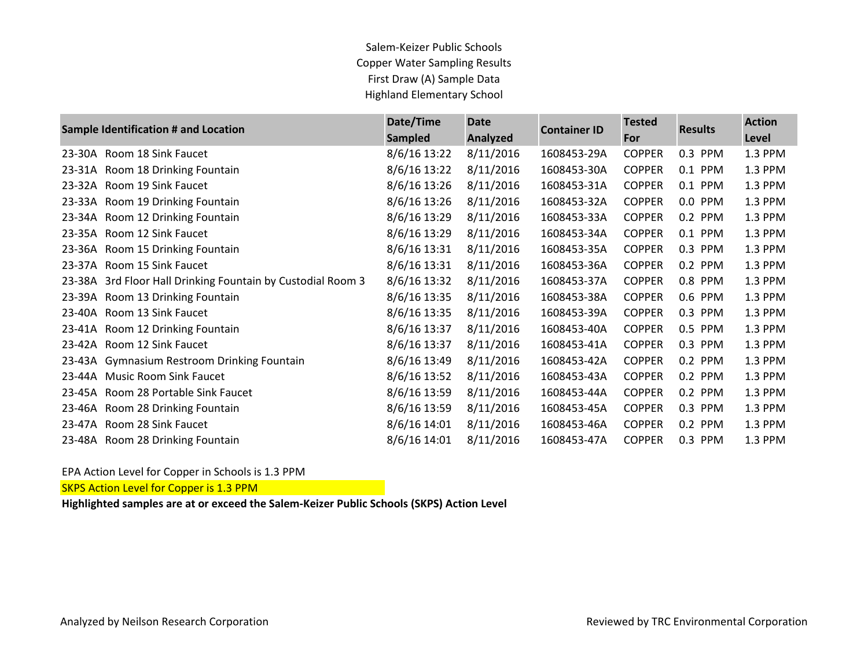## Salem-Keizer Public Schools Copper Water Sampling Results First Draw (A) Sample Data Highland Elementary School

| Sample Identification # and Location |                                                      | Date/Time<br><b>Sampled</b> | <b>Date</b><br>Analyzed | <b>Container ID</b> | <b>Tested</b><br>For | <b>Results</b> | <b>Action</b><br>Level |
|--------------------------------------|------------------------------------------------------|-----------------------------|-------------------------|---------------------|----------------------|----------------|------------------------|
| 23-30A                               | Room 18 Sink Faucet                                  | 8/6/16 13:22                | 8/11/2016               | 1608453-29A         | <b>COPPER</b>        | 0.3 PPM        | 1.3 PPM                |
| 23-31A                               | Room 18 Drinking Fountain                            | 8/6/16 13:22                | 8/11/2016               | 1608453-30A         | <b>COPPER</b>        | 0.1 PPM        | 1.3 PPM                |
| 23-32A                               | Room 19 Sink Faucet                                  | 8/6/16 13:26                | 8/11/2016               | 1608453-31A         | <b>COPPER</b>        | 0.1 PPM        | 1.3 PPM                |
| 23-33A                               | Room 19 Drinking Fountain                            | 8/6/16 13:26                | 8/11/2016               | 1608453-32A         | <b>COPPER</b>        | 0.0 PPM        | 1.3 PPM                |
| 23-34A                               | Room 12 Drinking Fountain                            | 8/6/16 13:29                | 8/11/2016               | 1608453-33A         | <b>COPPER</b>        | 0.2 PPM        | 1.3 PPM                |
| 23-35A                               | Room 12 Sink Faucet                                  | 8/6/16 13:29                | 8/11/2016               | 1608453-34A         | <b>COPPER</b>        | 0.1 PPM        | 1.3 PPM                |
| 23-36A                               | Room 15 Drinking Fountain                            | 8/6/16 13:31                | 8/11/2016               | 1608453-35A         | <b>COPPER</b>        | 0.3 PPM        | 1.3 PPM                |
| 23-37A                               | Room 15 Sink Faucet                                  | 8/6/16 13:31                | 8/11/2016               | 1608453-36A         | <b>COPPER</b>        | 0.2 PPM        | 1.3 PPM                |
| 23-38A                               | 3rd Floor Hall Drinking Fountain by Custodial Room 3 | 8/6/16 13:32                | 8/11/2016               | 1608453-37A         | <b>COPPER</b>        | 0.8 PPM        | 1.3 PPM                |
| 23-39A                               | Room 13 Drinking Fountain                            | 8/6/16 13:35                | 8/11/2016               | 1608453-38A         | <b>COPPER</b>        | 0.6 PPM        | 1.3 PPM                |
| 23-40A                               | Room 13 Sink Faucet                                  | 8/6/16 13:35                | 8/11/2016               | 1608453-39A         | <b>COPPER</b>        | 0.3 PPM        | 1.3 PPM                |
| 23-41A                               | Room 12 Drinking Fountain                            | 8/6/16 13:37                | 8/11/2016               | 1608453-40A         | <b>COPPER</b>        | 0.5 PPM        | 1.3 PPM                |
| 23-42A                               | Room 12 Sink Faucet                                  | 8/6/16 13:37                | 8/11/2016               | 1608453-41A         | <b>COPPER</b>        | 0.3 PPM        | 1.3 PPM                |
| 23-43A                               | <b>Gymnasium Restroom Drinking Fountain</b>          | 8/6/16 13:49                | 8/11/2016               | 1608453-42A         | <b>COPPER</b>        | 0.2 PPM        | 1.3 PPM                |
| 23-44A                               | <b>Music Room Sink Faucet</b>                        | 8/6/16 13:52                | 8/11/2016               | 1608453-43A         | <b>COPPER</b>        | 0.2 PPM        | 1.3 PPM                |
| 23-45A                               | Room 28 Portable Sink Faucet                         | 8/6/16 13:59                | 8/11/2016               | 1608453-44A         | <b>COPPER</b>        | 0.2 PPM        | 1.3 PPM                |
| 23-46A                               | Room 28 Drinking Fountain                            | 8/6/16 13:59                | 8/11/2016               | 1608453-45A         | <b>COPPER</b>        | 0.3 PPM        | 1.3 PPM                |
| 23-47A                               | Room 28 Sink Faucet                                  | 8/6/16 14:01                | 8/11/2016               | 1608453-46A         | <b>COPPER</b>        | 0.2 PPM        | 1.3 PPM                |
|                                      | 23-48A Room 28 Drinking Fountain                     | 8/6/16 14:01                | 8/11/2016               | 1608453-47A         | <b>COPPER</b>        | 0.3 PPM        | 1.3 PPM                |

## EPA Action Level for Copper in Schools is 1.3 PPM

SKPS Action Level for Copper is 1.3 PPM

**Highlighted samples are at or exceed the Salem-Keizer Public Schools (SKPS) Action Level**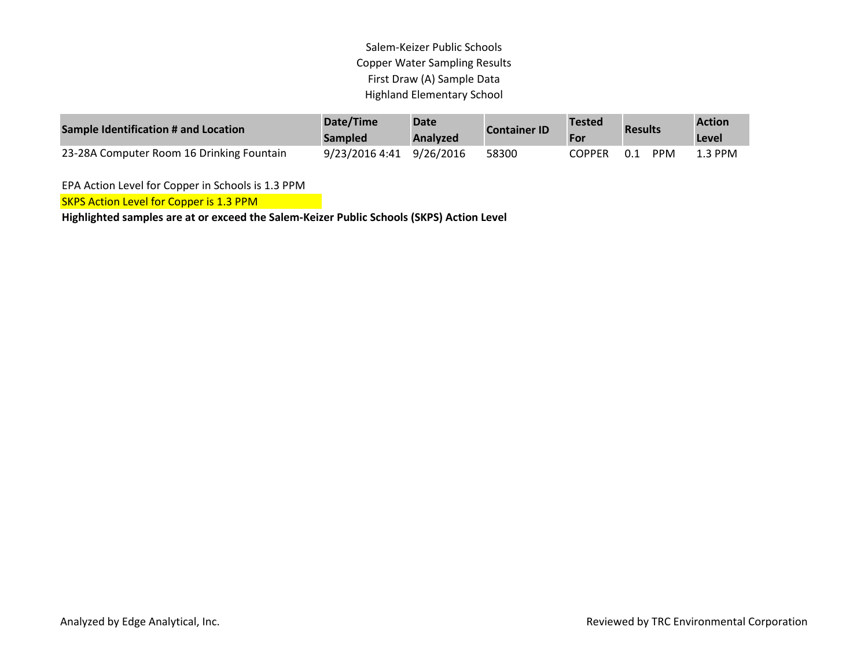Salem-Keizer Public Schools Copper Water Sampling Results First Draw (A) Sample Data Highland Elementary School

| Sample Identification # and Location      | Date/Time<br><b>Sampled</b> | <b>Date</b><br>Analyzed | <b>Container ID</b> | <b>Tested</b><br>For | <b>Results</b>    | <b>Action</b><br>Level |
|-------------------------------------------|-----------------------------|-------------------------|---------------------|----------------------|-------------------|------------------------|
| 23-28A Computer Room 16 Drinking Fountain | 9/23/2016 4:41 9/26/2016    |                         | 58300               | COPPER               | <b>PPM</b><br>0.1 | $1.3$ PPM              |

EPA Action Level for Copper in Schools is 1.3 PPM

SKPS Action Level for Copper is 1.3 PPM

**Highlighted samples are at or exceed the Salem-Keizer Public Schools (SKPS) Action Level**